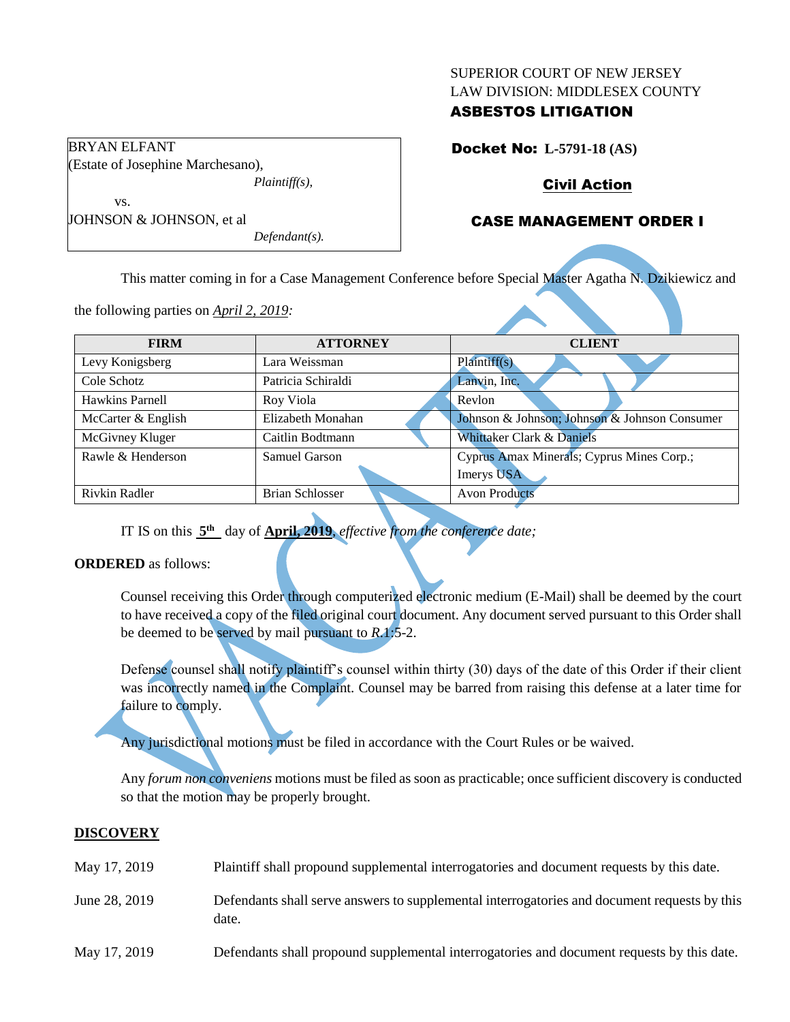#### SUPERIOR COURT OF NEW JERSEY LAW DIVISION: MIDDLESEX COUNTY

## ASBESTOS LITIGATION

Docket No: **L-5791-18 (AS)**

# Civil Action

## CASE MANAGEMENT ORDER I

vs. JOHNSON & JOHNSON, et al *Defendant(s).*

*Plaintiff(s),*

This matter coming in for a Case Management Conference before Special Master Agatha N. Dzikiewicz and

the following parties on *April 2, 2019:*

(Estate of Josephine Marchesano),

BRYAN ELFANT

| <b>FIRM</b>            | <b>ATTORNEY</b>        | <b>CLIENT</b>                                 |  |
|------------------------|------------------------|-----------------------------------------------|--|
| Levy Konigsberg        | Lara Weissman          | Plaintiff(s)                                  |  |
| Cole Schotz            | Patricia Schiraldi     | Lanvin, Inc.                                  |  |
| <b>Hawkins Parnell</b> | Roy Viola              | Revlon                                        |  |
| McCarter & English     | Elizabeth Monahan      | Johnson & Johnson; Johnson & Johnson Consumer |  |
| McGivney Kluger        | Caitlin Bodtmann       | Whittaker Clark & Daniels                     |  |
| Rawle & Henderson      | Samuel Garson          | Cyprus Amax Minerals; Cyprus Mines Corp.;     |  |
|                        |                        | Imerys USA                                    |  |
| Rivkin Radler          | <b>Brian Schlosser</b> | <b>Avon Products</b>                          |  |

IT IS on this  $5<sup>th</sup>$  day of **April, 2019**, *effective from the conference date*;

## **ORDERED** as follows:

Counsel receiving this Order through computerized electronic medium (E-Mail) shall be deemed by the court to have received a copy of the filed original court document. Any document served pursuant to this Order shall be deemed to be served by mail pursuant to *R*.1:5-2.

Defense counsel shall notify plaintiff's counsel within thirty (30) days of the date of this Order if their client was incorrectly named in the Complaint. Counsel may be barred from raising this defense at a later time for failure to comply.

Any jurisdictional motions must be filed in accordance with the Court Rules or be waived.

Any *forum non conveniens* motions must be filed as soon as practicable; once sufficient discovery is conducted so that the motion may be properly brought.

## **DISCOVERY**

| May 17, 2019  | Plaintiff shall propound supplemental interrogatories and document requests by this date.             |
|---------------|-------------------------------------------------------------------------------------------------------|
| June 28, 2019 | Defendants shall serve answers to supplemental interrogatories and document requests by this<br>date. |
| May 17, 2019  | Defendants shall propound supplemental interrogatories and document requests by this date.            |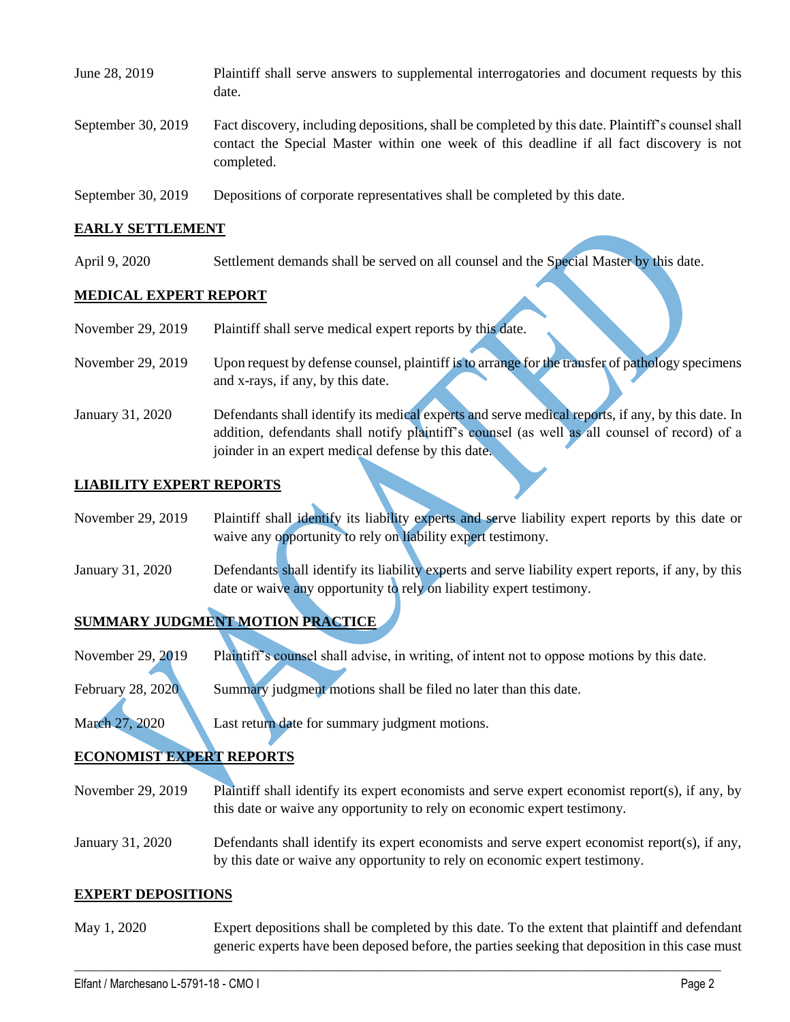| June 28, 2019      | Plaintiff shall serve answers to supplemental interrogatories and document requests by this<br>date.                                                                                                        |
|--------------------|-------------------------------------------------------------------------------------------------------------------------------------------------------------------------------------------------------------|
| September 30, 2019 | Fact discovery, including depositions, shall be completed by this date. Plaintiff's counsel shall<br>contact the Special Master within one week of this deadline if all fact discovery is not<br>completed. |
| September 30, 2019 | Depositions of corporate representatives shall be completed by this date.                                                                                                                                   |

### **EARLY SETTLEMENT**

April 9, 2020 Settlement demands shall be served on all counsel and the Special Master by this date.

### **MEDICAL EXPERT REPORT**

| November 29, 2019 | Plaintiff shall serve medical expert reports by this date. |  |  |
|-------------------|------------------------------------------------------------|--|--|
|-------------------|------------------------------------------------------------|--|--|

- November 29, 2019 Upon request by defense counsel, plaintiff is to arrange for the transfer of pathology specimens and x-rays, if any, by this date.
- January 31, 2020 Defendants shall identify its medical experts and serve medical reports, if any, by this date. In addition, defendants shall notify plaintiff's counsel (as well as all counsel of record) of a joinder in an expert medical defense by this date.

### **LIABILITY EXPERT REPORTS**

- November 29, 2019 Plaintiff shall identify its liability experts and serve liability expert reports by this date or waive any opportunity to rely on liability expert testimony.
- January 31, 2020 Defendants shall identify its liability experts and serve liability expert reports, if any, by this date or waive any opportunity to rely on liability expert testimony.

## **SUMMARY JUDGMENT MOTION PRACTICE**

November 29, 2019 Plaintiff's counsel shall advise, in writing, of intent not to oppose motions by this date.

February 28, 2020 Summary judgment motions shall be filed no later than this date.

March 27, 2020 Last return date for summary judgment motions.

## **ECONOMIST EXPERT REPORTS**

- November 29, 2019 Plaintiff shall identify its expert economists and serve expert economist report(s), if any, by this date or waive any opportunity to rely on economic expert testimony.
- January 31, 2020 Defendants shall identify its expert economists and serve expert economist report(s), if any, by this date or waive any opportunity to rely on economic expert testimony.

#### **EXPERT DEPOSITIONS**

May 1, 2020 Expert depositions shall be completed by this date. To the extent that plaintiff and defendant generic experts have been deposed before, the parties seeking that deposition in this case must

 $\_$  , and the set of the set of the set of the set of the set of the set of the set of the set of the set of the set of the set of the set of the set of the set of the set of the set of the set of the set of the set of th